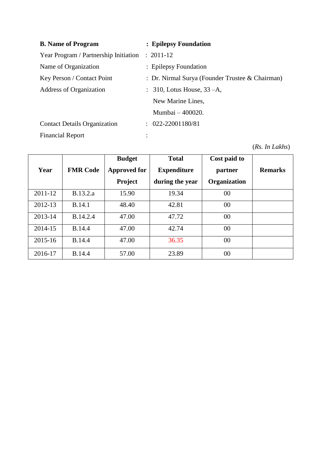| <b>B.</b> Name of Program             | : Epilepsy Foundation                           |
|---------------------------------------|-------------------------------------------------|
| Year Program / Partnership Initiation | $: 2011 - 12$                                   |
| Name of Organization                  | : Epilepsy Foundation                           |
| Key Person / Contact Point            | : Dr. Nirmal Surya (Founder Trustee & Chairman) |
| Address of Organization               | $\therefore$ 310, Lotus House, 33 -A,           |
|                                       | New Marine Lines,                               |
|                                       | Mumbai - 400020.                                |
| <b>Contact Details Organization</b>   | $: 022 - 22001180/81$                           |
| <b>Financial Report</b>               |                                                 |

(*Rs. In Lakhs*)

|         |                 | <b>Budget</b>       | <b>Total</b>       | Cost paid to        |                |
|---------|-----------------|---------------------|--------------------|---------------------|----------------|
| Year    | <b>FMR Code</b> | <b>Approved for</b> | <b>Expenditure</b> | partner             | <b>Remarks</b> |
|         |                 | <b>Project</b>      | during the year    | <b>Organization</b> |                |
| 2011-12 | B.13.2.a        | 15.90               | 19.34              | 00                  |                |
| 2012-13 | <b>B.14.1</b>   | 48.40               | 42.81              | 00                  |                |
| 2013-14 | B.14.2.4        | 47.00               | 47.72              | 00                  |                |
| 2014-15 | <b>B.14.4</b>   | 47.00               | 42.74              | 00                  |                |
| 2015-16 | <b>B.14.4</b>   | 47.00               | 36.35              | 00                  |                |
| 2016-17 | <b>B.14.4</b>   | 57.00               | 23.89              | 00                  |                |